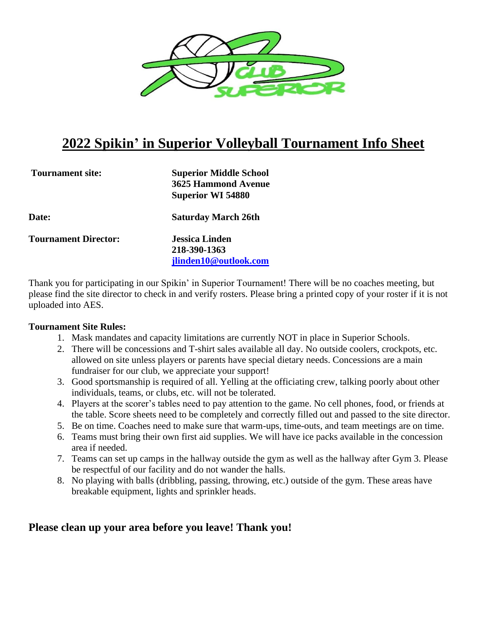

# **2022 Spikin' in Superior Volleyball Tournament Info Sheet**

| <b>Tournament site:</b>     | <b>Superior Middle School</b><br><b>3625 Hammond Avenue</b><br><b>Superior WI 54880</b> |
|-----------------------------|-----------------------------------------------------------------------------------------|
| <b>Date:</b>                | <b>Saturday March 26th</b>                                                              |
| <b>Tournament Director:</b> | <b>Jessica Linden</b>                                                                   |
|                             | 218-390-1363                                                                            |
|                             | jlinden10@outlook.com                                                                   |

Thank you for participating in our Spikin' in Superior Tournament! There will be no coaches meeting, but please find the site director to check in and verify rosters. Please bring a printed copy of your roster if it is not uploaded into AES.

#### **Tournament Site Rules:**

- 1. Mask mandates and capacity limitations are currently NOT in place in Superior Schools.
- 2. There will be concessions and T-shirt sales available all day. No outside coolers, crockpots, etc. allowed on site unless players or parents have special dietary needs. Concessions are a main fundraiser for our club, we appreciate your support!
- 3. Good sportsmanship is required of all. Yelling at the officiating crew, talking poorly about other individuals, teams, or clubs, etc. will not be tolerated.
- 4. Players at the scorer's tables need to pay attention to the game. No cell phones, food, or friends at the table. Score sheets need to be completely and correctly filled out and passed to the site director.
- 5. Be on time. Coaches need to make sure that warm-ups, time-outs, and team meetings are on time.
- 6. Teams must bring their own first aid supplies. We will have ice packs available in the concession area if needed.
- 7. Teams can set up camps in the hallway outside the gym as well as the hallway after Gym 3. Please be respectful of our facility and do not wander the halls.
- 8. No playing with balls (dribbling, passing, throwing, etc.) outside of the gym. These areas have breakable equipment, lights and sprinkler heads.

# **Please clean up your area before you leave! Thank you!**